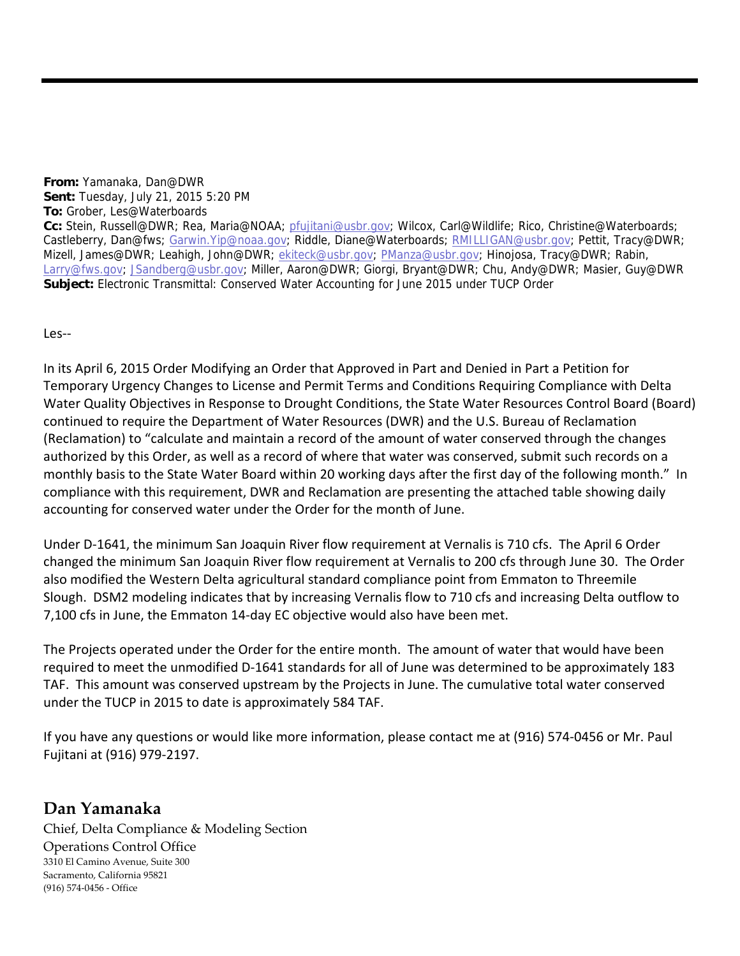**From:** Yamanaka, Dan@DWR **Sent:** Tuesday, July 21, 2015 5:20 PM **To:** Grober, Les@Waterboards **Cc:** Stein, Russell@DWR; Rea, Maria@NOAA; pfujitani@usbr.gov; Wilcox, Carl@Wildlife; Rico, Christine@Waterboards; Castleberry, Dan@fws; Garwin.Yip@noaa.gov; Riddle, Diane@Waterboards; RMILLIGAN@usbr.gov; Pettit, Tracy@DWR; Mizell, James@DWR; Leahigh, John@DWR; ekiteck@usbr.gov; PManza@usbr.gov; Hinojosa, Tracy@DWR; Rabin, Larry@fws.gov; JSandberg@usbr.gov; Miller, Aaron@DWR; Giorgi, Bryant@DWR; Chu, Andy@DWR; Masier, Guy@DWR **Subject:** Electronic Transmittal: Conserved Water Accounting for June 2015 under TUCP Order

Les‐‐

In its April 6, 2015 Order Modifying an Order that Approved in Part and Denied in Part a Petition for Temporary Urgency Changes to License and Permit Terms and Conditions Requiring Compliance with Delta Water Quality Objectives in Response to Drought Conditions, the State Water Resources Control Board (Board) continued to require the Department of Water Resources (DWR) and the U.S. Bureau of Reclamation (Reclamation) to "calculate and maintain a record of the amount of water conserved through the changes authorized by this Order, as well as a record of where that water was conserved, submit such records on a monthly basis to the State Water Board within 20 working days after the first day of the following month." In compliance with this requirement, DWR and Reclamation are presenting the attached table showing daily accounting for conserved water under the Order for the month of June.

Under D‐1641, the minimum San Joaquin River flow requirement at Vernalis is 710 cfs. The April 6 Order changed the minimum San Joaquin River flow requirement at Vernalis to 200 cfs through June 30. The Order also modified the Western Delta agricultural standard compliance point from Emmaton to Threemile Slough. DSM2 modeling indicates that by increasing Vernalis flow to 710 cfs and increasing Delta outflow to 7,100 cfs in June, the Emmaton 14‐day EC objective would also have been met.

The Projects operated under the Order for the entire month. The amount of water that would have been required to meet the unmodified D‐1641 standards for all of June was determined to be approximately 183 TAF. This amount was conserved upstream by the Projects in June. The cumulative total water conserved under the TUCP in 2015 to date is approximately 584 TAF.

If you have any questions or would like more information, please contact me at (916) 574‐0456 or Mr. Paul Fujitani at (916) 979‐2197.

**Dan Yamanaka**

Chief, Delta Compliance & Modeling Section Operations Control Office 3310 El Camino Avenue, Suite 300 Sacramento, California 95821 (916) 574‐0456 ‐ Office